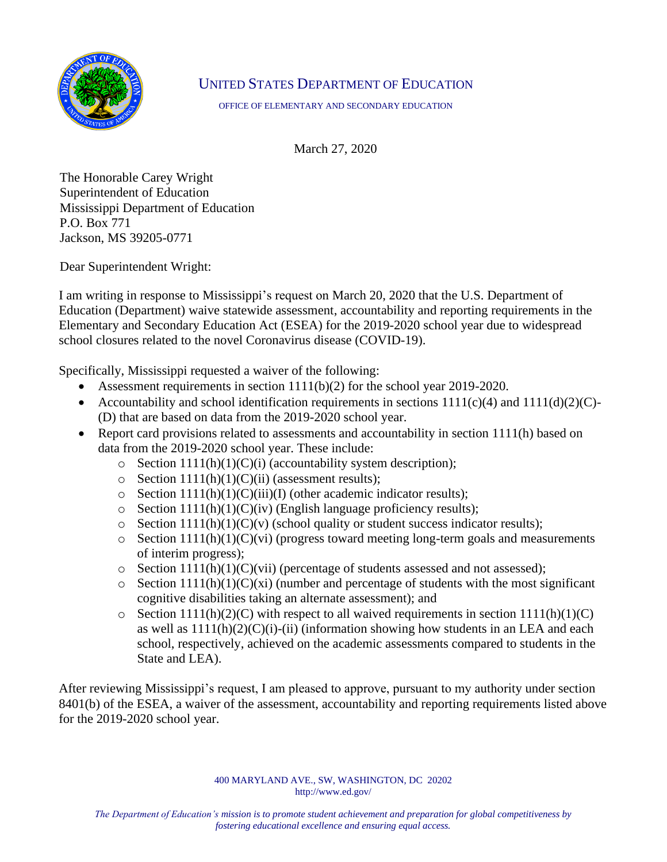

## UNITED STATES DEPARTMENT OF EDUCATION

OFFICE OF ELEMENTARY AND SECONDARY EDUCATION

March 27, 2020

The Honorable Carey Wright Superintendent of Education Mississippi Department of Education P.O. Box 771 Jackson, MS 39205-0771

Dear Superintendent Wright:

I am writing in response to Mississippi's request on March 20, 2020 that the U.S. Department of Education (Department) waive statewide assessment, accountability and reporting requirements in the Elementary and Secondary Education Act (ESEA) for the 2019-2020 school year due to widespread school closures related to the novel Coronavirus disease (COVID-19).

Specifically, Mississippi requested a waiver of the following:

- Assessment requirements in section  $1111(b)(2)$  for the school year 2019-2020.
- Accountability and school identification requirements in sections  $1111(c)(4)$  and  $1111(d)(2)(C)$ -(D) that are based on data from the 2019-2020 school year.
- Report card provisions related to assessments and accountability in section 1111(h) based on data from the 2019-2020 school year. These include:
	- $\circ$  Section 1111(h)(1)(C)(i) (accountability system description);
	- $\circ$  Section 1111(h)(1)(C)(ii) (assessment results);
	- $\circ$  Section 1111(h)(1)(C)(iii)(I) (other academic indicator results);
	- $\circ$  Section 1111(h)(1)(C)(iv) (English language proficiency results);
	- $\circ$  Section 1111(h)(1)(C)(v) (school quality or student success indicator results);
	- $\circ$  Section 1111(h)(1)(C)(vi) (progress toward meeting long-term goals and measurements of interim progress);
	- $\circ$  Section 1111(h)(1)(C)(vii) (percentage of students assessed and not assessed);
	- $\circ$  Section 1111(h)(1)(C)(xi) (number and percentage of students with the most significant cognitive disabilities taking an alternate assessment); and
	- $\circ$  Section 1111(h)(2)(C) with respect to all waived requirements in section 1111(h)(1)(C) as well as  $1111(h)(2)(C)(i)$ -(ii) (information showing how students in an LEA and each school, respectively, achieved on the academic assessments compared to students in the State and LEA).

After reviewing Mississippi's request, I am pleased to approve, pursuant to my authority under section 8401(b) of the ESEA, a waiver of the assessment, accountability and reporting requirements listed above for the 2019-2020 school year.

> 400 MARYLAND AVE., SW, WASHINGTON, DC 20202 http://www.ed.gov/